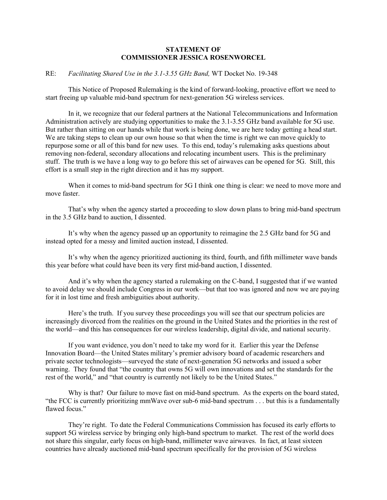## **STATEMENT OF COMMISSIONER JESSICA ROSENWORCEL**

## RE: *Facilitating Shared Use in the 3.1-3.55 GHz Band,* WT Docket No. 19-348

This Notice of Proposed Rulemaking is the kind of forward-looking, proactive effort we need to start freeing up valuable mid-band spectrum for next-generation 5G wireless services.

In it, we recognize that our federal partners at the National Telecommunications and Information Administration actively are studying opportunities to make the 3.1-3.55 GHz band available for 5G use. But rather than sitting on our hands while that work is being done, we are here today getting a head start. We are taking steps to clean up our own house so that when the time is right we can move quickly to repurpose some or all of this band for new uses. To this end, today's rulemaking asks questions about removing non-federal, secondary allocations and relocating incumbent users. This is the preliminary stuff. The truth is we have a long way to go before this set of airwaves can be opened for 5G. Still, this effort is a small step in the right direction and it has my support.

When it comes to mid-band spectrum for 5G I think one thing is clear: we need to move more and move faster.

That's why when the agency started a proceeding to slow down plans to bring mid-band spectrum in the 3.5 GHz band to auction, I dissented.

It's why when the agency passed up an opportunity to reimagine the 2.5 GHz band for 5G and instead opted for a messy and limited auction instead, I dissented.

It's why when the agency prioritized auctioning its third, fourth, and fifth millimeter wave bands this year before what could have been its very first mid-band auction, I dissented.

And it's why when the agency started a rulemaking on the C-band, I suggested that if we wanted to avoid delay we should include Congress in our work—but that too was ignored and now we are paying for it in lost time and fresh ambiguities about authority.

Here's the truth. If you survey these proceedings you will see that our spectrum policies are increasingly divorced from the realities on the ground in the United States and the priorities in the rest of the world—and this has consequences for our wireless leadership, digital divide, and national security.

If you want evidence, you don't need to take my word for it. Earlier this year the Defense Innovation Board—the United States military's premier advisory board of academic researchers and private sector technologists—surveyed the state of next-generation 5G networks and issued a sober warning. They found that "the country that owns 5G will own innovations and set the standards for the rest of the world," and "that country is currently not likely to be the United States."

Why is that? Our failure to move fast on mid-band spectrum. As the experts on the board stated, "the FCC is currently prioritizing mmWave over sub-6 mid-band spectrum . . . but this is a fundamentally flawed focus."

They're right. To date the Federal Communications Commission has focused its early efforts to support 5G wireless service by bringing only high-band spectrum to market. The rest of the world does not share this singular, early focus on high-band, millimeter wave airwaves. In fact, at least sixteen countries have already auctioned mid-band spectrum specifically for the provision of 5G wireless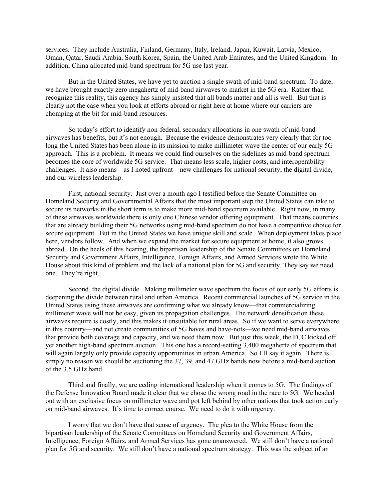services. They include Australia, Finland, Germany, Italy, Ireland, Japan, Kuwait, Latvia, Mexico, Oman, Qatar, Saudi Arabia, South Korea, Spain, the United Arab Emirates, and the United Kingdom. In addition, China allocated mid-band spectrum for 5G use last year.

But in the United States, we have yet to auction a single swath of mid-band spectrum. To date, we have brought exactly zero megahertz of mid-band airwaves to market in the 5G era. Rather than recognize this reality, this agency has simply insisted that all bands matter and all is well. But that is clearly not the case when you look at efforts abroad or right here at home where our carriers are chomping at the bit for mid-band resources.

So today's effort to identify non-federal, secondary allocations in one swath of mid-band airwaves has benefits, but it's not enough. Because the evidence demonstrates very clearly that for too long the United States has been alone in its mission to make millimeter wave the center of our early 5G approach. This is a problem. It means we could find ourselves on the sidelines as mid-band spectrum becomes the core of worldwide 5G service. That means less scale, higher costs, and interoperability challenges. It also means—as I noted upfront—new challenges for national security, the digital divide, and our wireless leadership.

First, national security. Just over a month ago I testified before the Senate Committee on Homeland Security and Governmental Affairs that the most important step the United States can take to secure its networks in the short term is to make more mid-band spectrum available. Right now, in many of these airwaves worldwide there is only one Chinese vendor offering equipment. That means countries that are already building their 5G networks using mid-band spectrum do not have a competitive choice for secure equipment. But in the United States we have unique skill and scale. When deployment takes place here, vendors follow. And when we expand the market for secure equipment at home, it also grows abroad. On the heels of this hearing, the bipartisan leadership of the Senate Committees on Homeland Security and Government Affairs, Intelligence, Foreign Affairs, and Armed Services wrote the White House about this kind of problem and the lack of a national plan for 5G and security. They say we need one. They're right.

Second, the digital divide. Making millimeter wave spectrum the focus of our early 5G efforts is deepening the divide between rural and urban America. Recent commercial launches of 5G service in the United States using these airwaves are confirming what we already know—that commercializing millimeter wave will not be easy, given its propagation challenges. The network densification these airwaves require is costly, and this makes it unsuitable for rural areas. So if we want to serve everywhere in this country—and not create communities of 5G haves and have-nots—we need mid-band airwaves that provide both coverage and capacity, and we need them now. But just this week, the FCC kicked off yet another high-band spectrum auction. This one has a record-setting 3,400 megahertz of spectrum that will again largely only provide capacity opportunities in urban America. So I'll say it again. There is simply no reason we should be auctioning the 37, 39, and 47 GHz bands now before a mid-band auction of the 3.5 GHz band.

Third and finally, we are ceding international leadership when it comes to 5G. The findings of the Defense Innovation Board made it clear that we chose the wrong road in the race to 5G. We headed out with an exclusive focus on millimeter wave and got left behind by other nations that took action early on mid-band airwaves. It's time to correct course. We need to do it with urgency.

I worry that we don't have that sense of urgency. The plea to the White House from the bipartisan leadership of the Senate Committees on Homeland Security and Government Affairs, Intelligence, Foreign Affairs, and Armed Services has gone unanswered. We still don't have a national plan for 5G and security. We still don't have a national spectrum strategy. This was the subject of an